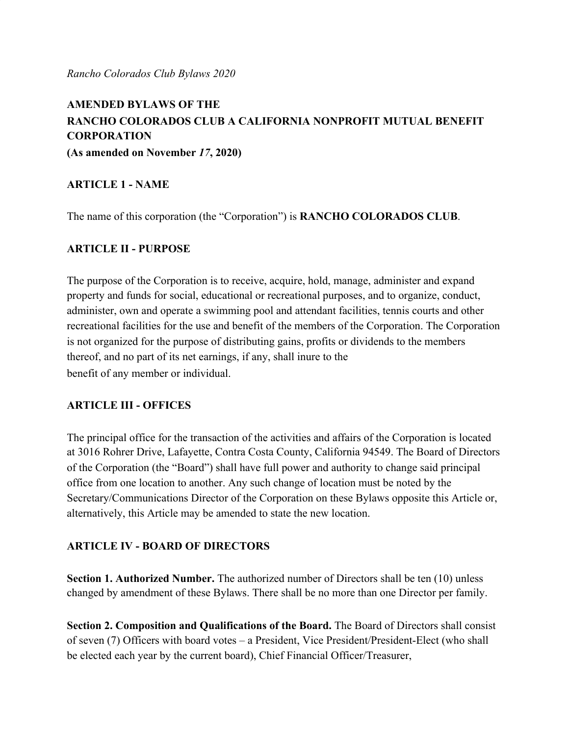#### *Rancho Colorados Club Bylaws 2020*

# **AMENDED BYLAWS OF THE RANCHO COLORADOS CLUB A CALIFORNIA NONPROFIT MUTUAL BENEFIT CORPORATION (As amended on November** *17***, 2020)**

#### **ARTICLE 1 - NAME**

The name of this corporation (the "Corporation") is **RANCHO COLORADOS CLUB**.

#### **ARTICLE II - PURPOSE**

The purpose of the Corporation is to receive, acquire, hold, manage, administer and expand property and funds for social, educational or recreational purposes, and to organize, conduct, administer, own and operate a swimming pool and attendant facilities, tennis courts and other recreational facilities for the use and benefit of the members of the Corporation. The Corporation is not organized for the purpose of distributing gains, profits or dividends to the members thereof, and no part of its net earnings, if any, shall inure to the benefit of any member or individual.

#### **ARTICLE III - OFFICES**

The principal office for the transaction of the activities and affairs of the Corporation is located at 3016 Rohrer Drive, Lafayette, Contra Costa County, California 94549. The Board of Directors of the Corporation (the "Board") shall have full power and authority to change said principal office from one location to another. Any such change of location must be noted by the Secretary/Communications Director of the Corporation on these Bylaws opposite this Article or, alternatively, this Article may be amended to state the new location.

### **ARTICLE IV - BOARD OF DIRECTORS**

**Section 1. Authorized Number.** The authorized number of Directors shall be ten (10) unless changed by amendment of these Bylaws. There shall be no more than one Director per family.

**Section 2. Composition and Qualifications of the Board.** The Board of Directors shall consist of seven (7) Officers with board votes – a President, Vice President/President-Elect (who shall be elected each year by the current board), Chief Financial Officer/Treasurer,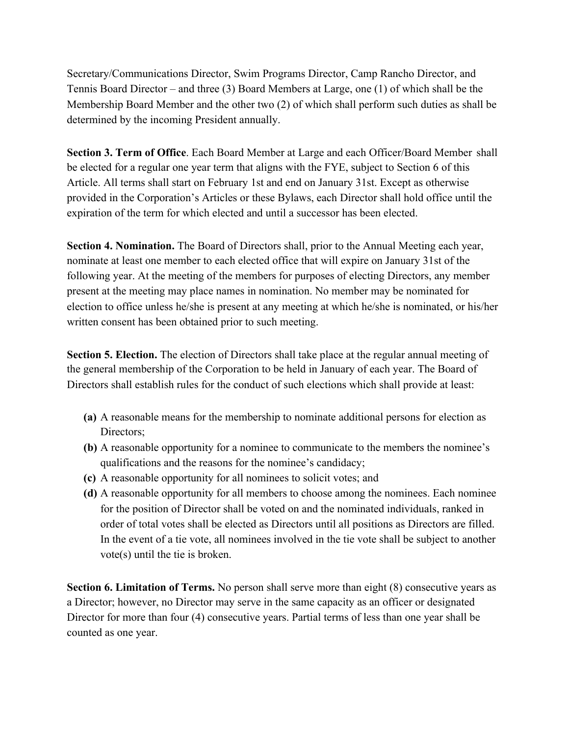Secretary/Communications Director, Swim Programs Director, Camp Rancho Director, and Tennis Board Director – and three (3) Board Members at Large, one (1) of which shall be the Membership Board Member and the other two (2) of which shall perform such duties as shall be determined by the incoming President annually.

**Section 3. Term of Office**. Each Board Member at Large and each Officer/Board Member shall be elected for a regular one year term that aligns with the FYE, subject to Section 6 of this Article. All terms shall start on February 1st and end on January 31st. Except as otherwise provided in the Corporation's Articles or these Bylaws, each Director shall hold office until the expiration of the term for which elected and until a successor has been elected.

**Section 4. Nomination.** The Board of Directors shall, prior to the Annual Meeting each year, nominate at least one member to each elected office that will expire on January 31st of the following year. At the meeting of the members for purposes of electing Directors, any member present at the meeting may place names in nomination. No member may be nominated for election to office unless he/she is present at any meeting at which he/she is nominated, or his/her written consent has been obtained prior to such meeting.

**Section 5. Election.** The election of Directors shall take place at the regular annual meeting of the general membership of the Corporation to be held in January of each year. The Board of Directors shall establish rules for the conduct of such elections which shall provide at least:

- **(a)** A reasonable means for the membership to nominate additional persons for election as Directors:
- **(b)** A reasonable opportunity for a nominee to communicate to the members the nominee's qualifications and the reasons for the nominee's candidacy;
- **(c)** A reasonable opportunity for all nominees to solicit votes; and
- **(d)** A reasonable opportunity for all members to choose among the nominees. Each nominee for the position of Director shall be voted on and the nominated individuals, ranked in order of total votes shall be elected as Directors until all positions as Directors are filled. In the event of a tie vote, all nominees involved in the tie vote shall be subject to another vote(s) until the tie is broken.

**Section 6. Limitation of Terms.** No person shall serve more than eight (8) consecutive years as a Director; however, no Director may serve in the same capacity as an officer or designated Director for more than four (4) consecutive years. Partial terms of less than one year shall be counted as one year.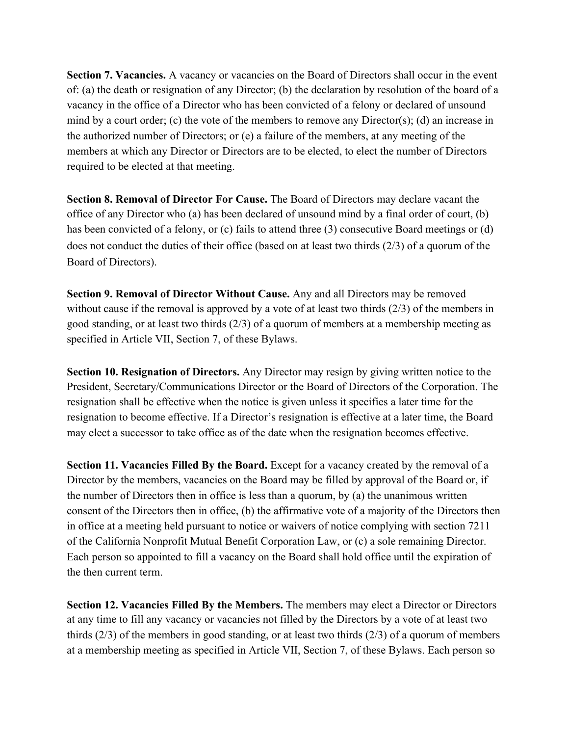**Section 7. Vacancies.** A vacancy or vacancies on the Board of Directors shall occur in the event of: (a) the death or resignation of any Director; (b) the declaration by resolution of the board of a vacancy in the office of a Director who has been convicted of a felony or declared of unsound mind by a court order; (c) the vote of the members to remove any Director(s); (d) an increase in the authorized number of Directors; or (e) a failure of the members, at any meeting of the members at which any Director or Directors are to be elected, to elect the number of Directors required to be elected at that meeting.

**Section 8. Removal of Director For Cause.** The Board of Directors may declare vacant the office of any Director who (a) has been declared of unsound mind by a final order of court, (b) has been convicted of a felony, or (c) fails to attend three (3) consecutive Board meetings or (d) does not conduct the duties of their office (based on at least two thirds (2/3) of a quorum of the Board of Directors).

**Section 9. Removal of Director Without Cause.** Any and all Directors may be removed without cause if the removal is approved by a vote of at least two thirds (2/3) of the members in good standing, or at least two thirds  $(2/3)$  of a quorum of members at a membership meeting as specified in Article VII, Section 7, of these Bylaws.

**Section 10. Resignation of Directors.** Any Director may resign by giving written notice to the President, Secretary/Communications Director or the Board of Directors of the Corporation. The resignation shall be effective when the notice is given unless it specifies a later time for the resignation to become effective. If a Director's resignation is effective at a later time, the Board may elect a successor to take office as of the date when the resignation becomes effective.

**Section 11. Vacancies Filled By the Board.** Except for a vacancy created by the removal of a Director by the members, vacancies on the Board may be filled by approval of the Board or, if the number of Directors then in office is less than a quorum, by (a) the unanimous written consent of the Directors then in office, (b) the affirmative vote of a majority of the Directors then in office at a meeting held pursuant to notice or waivers of notice complying with section 7211 of the California Nonprofit Mutual Benefit Corporation Law, or (c) a sole remaining Director. Each person so appointed to fill a vacancy on the Board shall hold office until the expiration of the then current term.

**Section 12. Vacancies Filled By the Members.** The members may elect a Director or Directors at any time to fill any vacancy or vacancies not filled by the Directors by a vote of at least two thirds  $(2/3)$  of the members in good standing, or at least two thirds  $(2/3)$  of a quorum of members at a membership meeting as specified in Article VII, Section 7, of these Bylaws. Each person so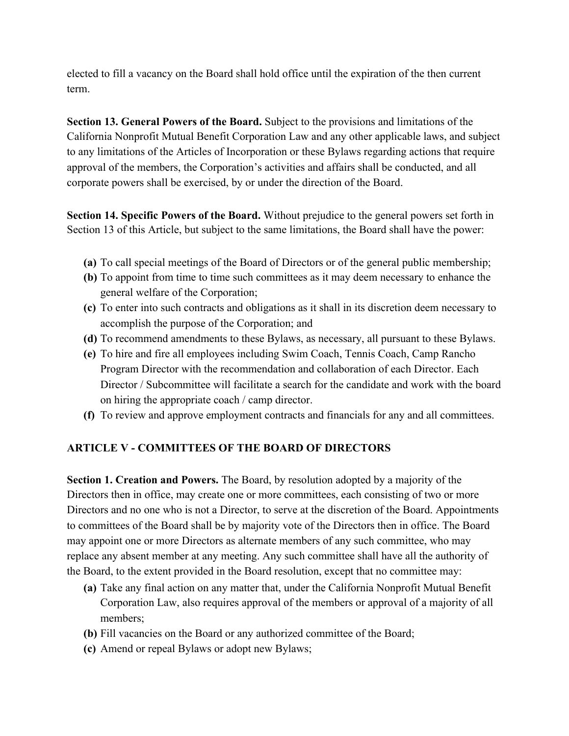elected to fill a vacancy on the Board shall hold office until the expiration of the then current term.

**Section 13. General Powers of the Board.** Subject to the provisions and limitations of the California Nonprofit Mutual Benefit Corporation Law and any other applicable laws, and subject to any limitations of the Articles of Incorporation or these Bylaws regarding actions that require approval of the members, the Corporation's activities and affairs shall be conducted, and all corporate powers shall be exercised, by or under the direction of the Board.

**Section 14. Specific Powers of the Board.** Without prejudice to the general powers set forth in Section 13 of this Article, but subject to the same limitations, the Board shall have the power:

- **(a)** To call special meetings of the Board of Directors or of the general public membership;
- **(b)** To appoint from time to time such committees as it may deem necessary to enhance the general welfare of the Corporation;
- **(c)** To enter into such contracts and obligations as it shall in its discretion deem necessary to accomplish the purpose of the Corporation; and
- **(d)** To recommend amendments to these Bylaws, as necessary, all pursuant to these Bylaws.
- **(e)** To hire and fire all employees including Swim Coach, Tennis Coach, Camp Rancho Program Director with the recommendation and collaboration of each Director. Each Director / Subcommittee will facilitate a search for the candidate and work with the board on hiring the appropriate coach / camp director.
- **(f)** To review and approve employment contracts and financials for any and all committees.

#### **ARTICLE V - COMMITTEES OF THE BOARD OF DIRECTORS**

**Section 1. Creation and Powers.** The Board, by resolution adopted by a majority of the Directors then in office, may create one or more committees, each consisting of two or more Directors and no one who is not a Director, to serve at the discretion of the Board. Appointments to committees of the Board shall be by majority vote of the Directors then in office. The Board may appoint one or more Directors as alternate members of any such committee, who may replace any absent member at any meeting. Any such committee shall have all the authority of the Board, to the extent provided in the Board resolution, except that no committee may:

- **(a)** Take any final action on any matter that, under the California Nonprofit Mutual Benefit Corporation Law, also requires approval of the members or approval of a majority of all members;
- **(b)** Fill vacancies on the Board or any authorized committee of the Board;
- **(c)** Amend or repeal Bylaws or adopt new Bylaws;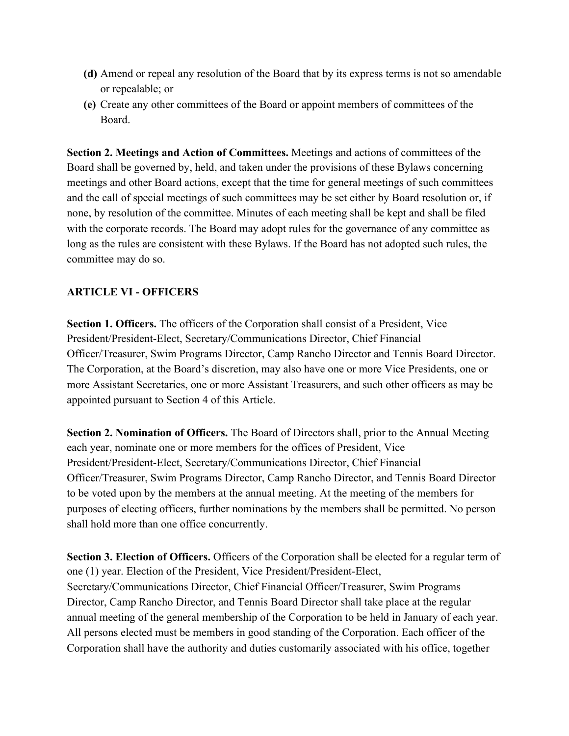- **(d)** Amend or repeal any resolution of the Board that by its express terms is not so amendable or repealable; or
- **(e)** Create any other committees of the Board or appoint members of committees of the Board.

**Section 2. Meetings and Action of Committees.** Meetings and actions of committees of the Board shall be governed by, held, and taken under the provisions of these Bylaws concerning meetings and other Board actions, except that the time for general meetings of such committees and the call of special meetings of such committees may be set either by Board resolution or, if none, by resolution of the committee. Minutes of each meeting shall be kept and shall be filed with the corporate records. The Board may adopt rules for the governance of any committee as long as the rules are consistent with these Bylaws. If the Board has not adopted such rules, the committee may do so.

#### **ARTICLE VI - OFFICERS**

**Section 1. Officers.** The officers of the Corporation shall consist of a President, Vice President/President-Elect, Secretary/Communications Director, Chief Financial Officer/Treasurer, Swim Programs Director, Camp Rancho Director and Tennis Board Director. The Corporation, at the Board's discretion, may also have one or more Vice Presidents, one or more Assistant Secretaries, one or more Assistant Treasurers, and such other officers as may be appointed pursuant to Section 4 of this Article.

**Section 2. Nomination of Officers.** The Board of Directors shall, prior to the Annual Meeting each year, nominate one or more members for the offices of President, Vice President/President-Elect, Secretary/Communications Director, Chief Financial Officer/Treasurer, Swim Programs Director, Camp Rancho Director, and Tennis Board Director to be voted upon by the members at the annual meeting. At the meeting of the members for purposes of electing officers, further nominations by the members shall be permitted. No person shall hold more than one office concurrently.

**Section 3. Election of Officers.** Officers of the Corporation shall be elected for a regular term of one (1) year. Election of the President, Vice President/President-Elect, Secretary/Communications Director, Chief Financial Officer/Treasurer, Swim Programs Director, Camp Rancho Director, and Tennis Board Director shall take place at the regular annual meeting of the general membership of the Corporation to be held in January of each year. All persons elected must be members in good standing of the Corporation. Each officer of the Corporation shall have the authority and duties customarily associated with his office, together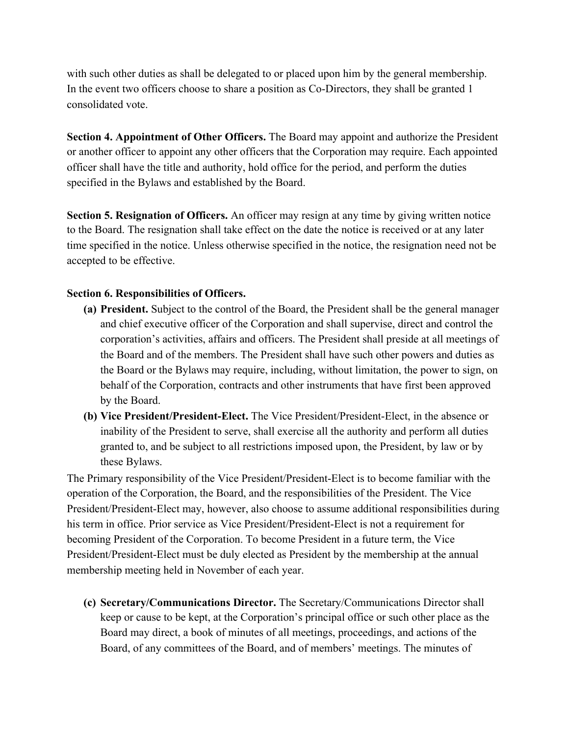with such other duties as shall be delegated to or placed upon him by the general membership. In the event two officers choose to share a position as Co-Directors, they shall be granted 1 consolidated vote.

**Section 4. Appointment of Other Officers.** The Board may appoint and authorize the President or another officer to appoint any other officers that the Corporation may require. Each appointed officer shall have the title and authority, hold office for the period, and perform the duties specified in the Bylaws and established by the Board.

**Section 5. Resignation of Officers.** An officer may resign at any time by giving written notice to the Board. The resignation shall take effect on the date the notice is received or at any later time specified in the notice. Unless otherwise specified in the notice, the resignation need not be accepted to be effective.

#### **Section 6. Responsibilities of Officers.**

- **(a) President.** Subject to the control of the Board, the President shall be the general manager and chief executive officer of the Corporation and shall supervise, direct and control the corporation's activities, affairs and officers. The President shall preside at all meetings of the Board and of the members. The President shall have such other powers and duties as the Board or the Bylaws may require, including, without limitation, the power to sign, on behalf of the Corporation, contracts and other instruments that have first been approved by the Board.
- **(b) Vice President/President-Elect.** The Vice President/President-Elect, in the absence or inability of the President to serve, shall exercise all the authority and perform all duties granted to, and be subject to all restrictions imposed upon, the President, by law or by these Bylaws.

The Primary responsibility of the Vice President/President-Elect is to become familiar with the operation of the Corporation, the Board, and the responsibilities of the President. The Vice President/President-Elect may, however, also choose to assume additional responsibilities during his term in office. Prior service as Vice President/President-Elect is not a requirement for becoming President of the Corporation. To become President in a future term, the Vice President/President-Elect must be duly elected as President by the membership at the annual membership meeting held in November of each year.

**(c) Secretary/Communications Director.** The Secretary/Communications Director shall keep or cause to be kept, at the Corporation's principal office or such other place as the Board may direct, a book of minutes of all meetings, proceedings, and actions of the Board, of any committees of the Board, and of members' meetings. The minutes of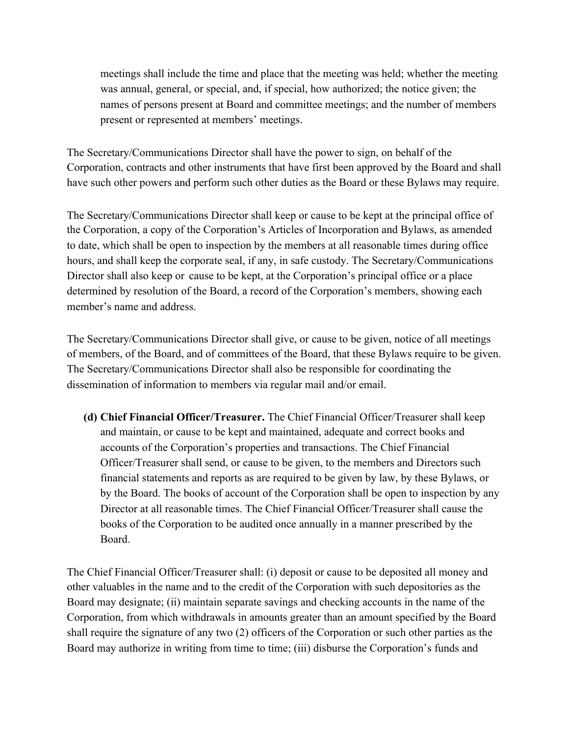meetings shall include the time and place that the meeting was held; whether the meeting was annual, general, or special, and, if special, how authorized; the notice given; the names of persons present at Board and committee meetings; and the number of members present or represented at members' meetings.

The Secretary/Communications Director shall have the power to sign, on behalf of the Corporation, contracts and other instruments that have first been approved by the Board and shall have such other powers and perform such other duties as the Board or these Bylaws may require.

The Secretary/Communications Director shall keep or cause to be kept at the principal office of the Corporation, a copy of the Corporation's Articles of Incorporation and Bylaws, as amended to date, which shall be open to inspection by the members at all reasonable times during office hours, and shall keep the corporate seal, if any, in safe custody. The Secretary/Communications Director shall also keep or cause to be kept, at the Corporation's principal office or a place determined by resolution of the Board, a record of the Corporation's members, showing each member's name and address.

The Secretary/Communications Director shall give, or cause to be given, notice of all meetings of members, of the Board, and of committees of the Board, that these Bylaws require to be given. The Secretary/Communications Director shall also be responsible for coordinating the dissemination of information to members via regular mail and/or email.

**(d) Chief Financial Officer/Treasurer.** The Chief Financial Officer/Treasurer shall keep and maintain, or cause to be kept and maintained, adequate and correct books and accounts of the Corporation's properties and transactions. The Chief Financial Officer/Treasurer shall send, or cause to be given, to the members and Directors such financial statements and reports as are required to be given by law, by these Bylaws, or by the Board. The books of account of the Corporation shall be open to inspection by any Director at all reasonable times. The Chief Financial Officer/Treasurer shall cause the books of the Corporation to be audited once annually in a manner prescribed by the **Board** 

The Chief Financial Officer/Treasurer shall: (i) deposit or cause to be deposited all money and other valuables in the name and to the credit of the Corporation with such depositories as the Board may designate; (ii) maintain separate savings and checking accounts in the name of the Corporation, from which withdrawals in amounts greater than an amount specified by the Board shall require the signature of any two (2) officers of the Corporation or such other parties as the Board may authorize in writing from time to time; (iii) disburse the Corporation's funds and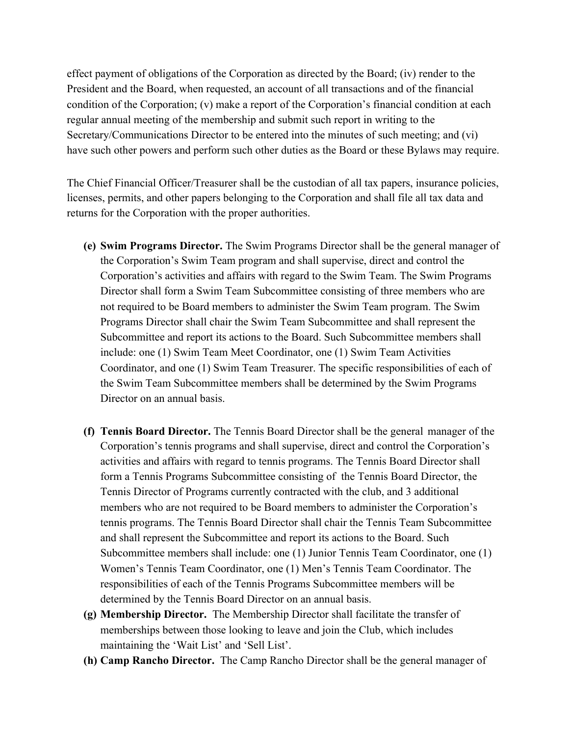effect payment of obligations of the Corporation as directed by the Board; (iv) render to the President and the Board, when requested, an account of all transactions and of the financial condition of the Corporation; (v) make a report of the Corporation's financial condition at each regular annual meeting of the membership and submit such report in writing to the Secretary/Communications Director to be entered into the minutes of such meeting; and (vi) have such other powers and perform such other duties as the Board or these Bylaws may require.

The Chief Financial Officer/Treasurer shall be the custodian of all tax papers, insurance policies, licenses, permits, and other papers belonging to the Corporation and shall file all tax data and returns for the Corporation with the proper authorities.

- **(e) Swim Programs Director.** The Swim Programs Director shall be the general manager of the Corporation's Swim Team program and shall supervise, direct and control the Corporation's activities and affairs with regard to the Swim Team. The Swim Programs Director shall form a Swim Team Subcommittee consisting of three members who are not required to be Board members to administer the Swim Team program. The Swim Programs Director shall chair the Swim Team Subcommittee and shall represent the Subcommittee and report its actions to the Board. Such Subcommittee members shall include: one (1) Swim Team Meet Coordinator, one (1) Swim Team Activities Coordinator, and one (1) Swim Team Treasurer. The specific responsibilities of each of the Swim Team Subcommittee members shall be determined by the Swim Programs Director on an annual basis.
- **(f) Tennis Board Director.** The Tennis Board Director shall be the general manager of the Corporation's tennis programs and shall supervise, direct and control the Corporation's activities and affairs with regard to tennis programs. The Tennis Board Director shall form a Tennis Programs Subcommittee consisting of the Tennis Board Director, the Tennis Director of Programs currently contracted with the club, and 3 additional members who are not required to be Board members to administer the Corporation's tennis programs. The Tennis Board Director shall chair the Tennis Team Subcommittee and shall represent the Subcommittee and report its actions to the Board. Such Subcommittee members shall include: one (1) Junior Tennis Team Coordinator, one (1) Women's Tennis Team Coordinator, one (1) Men's Tennis Team Coordinator. The responsibilities of each of the Tennis Programs Subcommittee members will be determined by the Tennis Board Director on an annual basis.
- **(g) Membership Director.** The Membership Director shall facilitate the transfer of memberships between those looking to leave and join the Club, which includes maintaining the 'Wait List' and 'Sell List'.
- **(h) Camp Rancho Director.** The Camp Rancho Director shall be the general manager of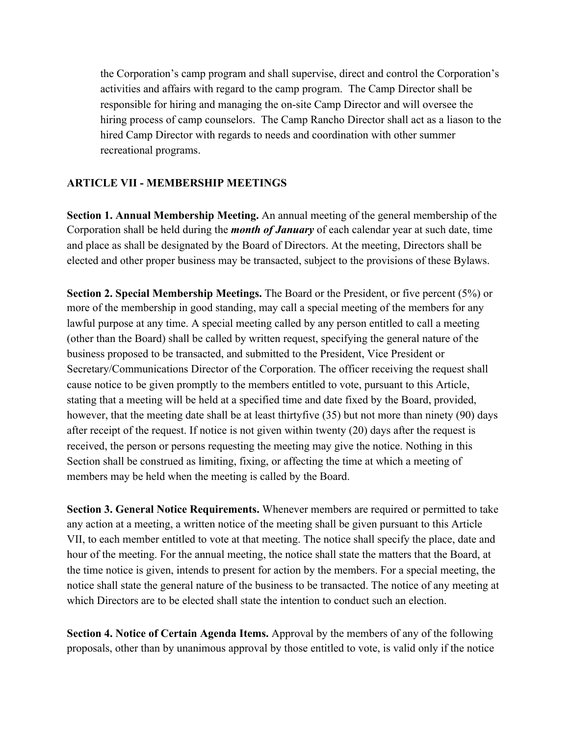the Corporation's camp program and shall supervise, direct and control the Corporation's activities and affairs with regard to the camp program. The Camp Director shall be responsible for hiring and managing the on-site Camp Director and will oversee the hiring process of camp counselors. The Camp Rancho Director shall act as a liason to the hired Camp Director with regards to needs and coordination with other summer recreational programs.

#### **ARTICLE VII - MEMBERSHIP MEETINGS**

**Section 1. Annual Membership Meeting.** An annual meeting of the general membership of the Corporation shall be held during the *month of January* of each calendar year at such date, time and place as shall be designated by the Board of Directors. At the meeting, Directors shall be elected and other proper business may be transacted, subject to the provisions of these Bylaws.

**Section 2. Special Membership Meetings.** The Board or the President, or five percent (5%) or more of the membership in good standing, may call a special meeting of the members for any lawful purpose at any time. A special meeting called by any person entitled to call a meeting (other than the Board) shall be called by written request, specifying the general nature of the business proposed to be transacted, and submitted to the President, Vice President or Secretary/Communications Director of the Corporation. The officer receiving the request shall cause notice to be given promptly to the members entitled to vote, pursuant to this Article, stating that a meeting will be held at a specified time and date fixed by the Board, provided, however, that the meeting date shall be at least thirtyfive (35) but not more than ninety (90) days after receipt of the request. If notice is not given within twenty (20) days after the request is received, the person or persons requesting the meeting may give the notice. Nothing in this Section shall be construed as limiting, fixing, or affecting the time at which a meeting of members may be held when the meeting is called by the Board.

**Section 3. General Notice Requirements.** Whenever members are required or permitted to take any action at a meeting, a written notice of the meeting shall be given pursuant to this Article VII, to each member entitled to vote at that meeting. The notice shall specify the place, date and hour of the meeting. For the annual meeting, the notice shall state the matters that the Board, at the time notice is given, intends to present for action by the members. For a special meeting, the notice shall state the general nature of the business to be transacted. The notice of any meeting at which Directors are to be elected shall state the intention to conduct such an election.

**Section 4. Notice of Certain Agenda Items.** Approval by the members of any of the following proposals, other than by unanimous approval by those entitled to vote, is valid only if the notice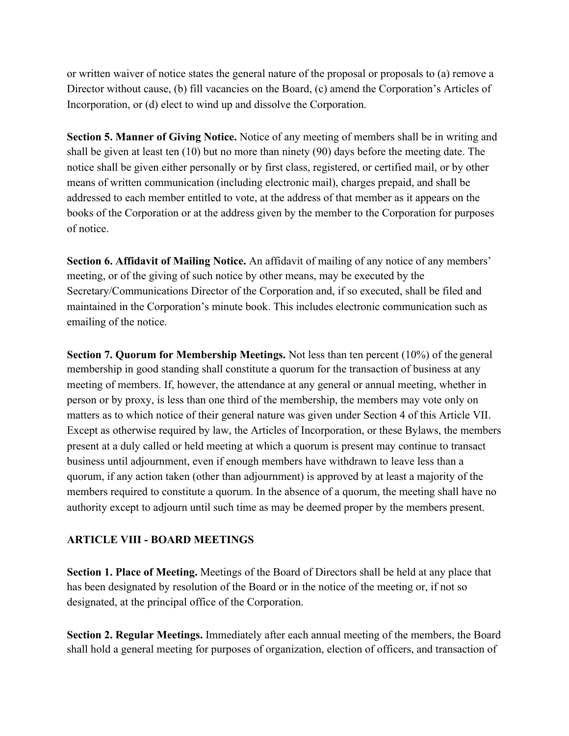or written waiver of notice states the general nature of the proposal or proposals to (a) remove a Director without cause, (b) fill vacancies on the Board, (c) amend the Corporation's Articles of Incorporation, or (d) elect to wind up and dissolve the Corporation.

**Section 5. Manner of Giving Notice.** Notice of any meeting of members shall be in writing and shall be given at least ten (10) but no more than ninety (90) days before the meeting date. The notice shall be given either personally or by first class, registered, or certified mail, or by other means of written communication (including electronic mail), charges prepaid, and shall be addressed to each member entitled to vote, at the address of that member as it appears on the books of the Corporation or at the address given by the member to the Corporation for purposes of notice.

**Section 6. Affidavit of Mailing Notice.** An affidavit of mailing of any notice of any members' meeting, or of the giving of such notice by other means, may be executed by the Secretary/Communications Director of the Corporation and, if so executed, shall be filed and maintained in the Corporation's minute book. This includes electronic communication such as emailing of the notice.

**Section 7. Quorum for Membership Meetings.** Not less than ten percent (10%) of the general membership in good standing shall constitute a quorum for the transaction of business at any meeting of members. If, however, the attendance at any general or annual meeting, whether in person or by proxy, is less than one third of the membership, the members may vote only on matters as to which notice of their general nature was given under Section 4 of this Article VII. Except as otherwise required by law, the Articles of Incorporation, or these Bylaws, the members present at a duly called or held meeting at which a quorum is present may continue to transact business until adjournment, even if enough members have withdrawn to leave less than a quorum, if any action taken (other than adjournment) is approved by at least a majority of the members required to constitute a quorum. In the absence of a quorum, the meeting shall have no authority except to adjourn until such time as may be deemed proper by the members present.

#### **ARTICLE VIII - BOARD MEETINGS**

**Section 1. Place of Meeting.** Meetings of the Board of Directors shall be held at any place that has been designated by resolution of the Board or in the notice of the meeting or, if not so designated, at the principal office of the Corporation.

**Section 2. Regular Meetings.** Immediately after each annual meeting of the members, the Board shall hold a general meeting for purposes of organization, election of officers, and transaction of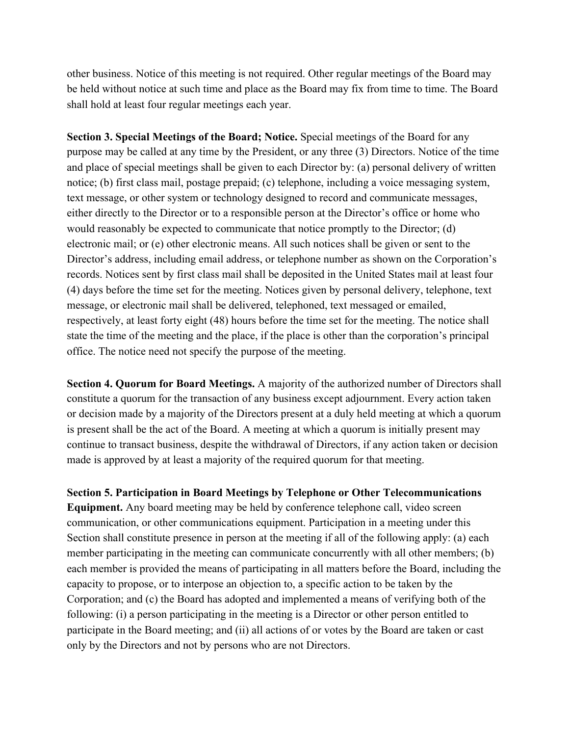other business. Notice of this meeting is not required. Other regular meetings of the Board may be held without notice at such time and place as the Board may fix from time to time. The Board shall hold at least four regular meetings each year.

**Section 3. Special Meetings of the Board; Notice.** Special meetings of the Board for any purpose may be called at any time by the President, or any three (3) Directors. Notice of the time and place of special meetings shall be given to each Director by: (a) personal delivery of written notice; (b) first class mail, postage prepaid; (c) telephone, including a voice messaging system, text message, or other system or technology designed to record and communicate messages, either directly to the Director or to a responsible person at the Director's office or home who would reasonably be expected to communicate that notice promptly to the Director; (d) electronic mail; or (e) other electronic means. All such notices shall be given or sent to the Director's address, including email address, or telephone number as shown on the Corporation's records. Notices sent by first class mail shall be deposited in the United States mail at least four (4) days before the time set for the meeting. Notices given by personal delivery, telephone, text message, or electronic mail shall be delivered, telephoned, text messaged or emailed, respectively, at least forty eight (48) hours before the time set for the meeting. The notice shall state the time of the meeting and the place, if the place is other than the corporation's principal office. The notice need not specify the purpose of the meeting.

**Section 4. Quorum for Board Meetings.** A majority of the authorized number of Directors shall constitute a quorum for the transaction of any business except adjournment. Every action taken or decision made by a majority of the Directors present at a duly held meeting at which a quorum is present shall be the act of the Board. A meeting at which a quorum is initially present may continue to transact business, despite the withdrawal of Directors, if any action taken or decision made is approved by at least a majority of the required quorum for that meeting.

**Section 5. Participation in Board Meetings by Telephone or Other Telecommunications Equipment.** Any board meeting may be held by conference telephone call, video screen communication, or other communications equipment. Participation in a meeting under this Section shall constitute presence in person at the meeting if all of the following apply: (a) each member participating in the meeting can communicate concurrently with all other members; (b) each member is provided the means of participating in all matters before the Board, including the capacity to propose, or to interpose an objection to, a specific action to be taken by the Corporation; and (c) the Board has adopted and implemented a means of verifying both of the following: (i) a person participating in the meeting is a Director or other person entitled to participate in the Board meeting; and (ii) all actions of or votes by the Board are taken or cast only by the Directors and not by persons who are not Directors.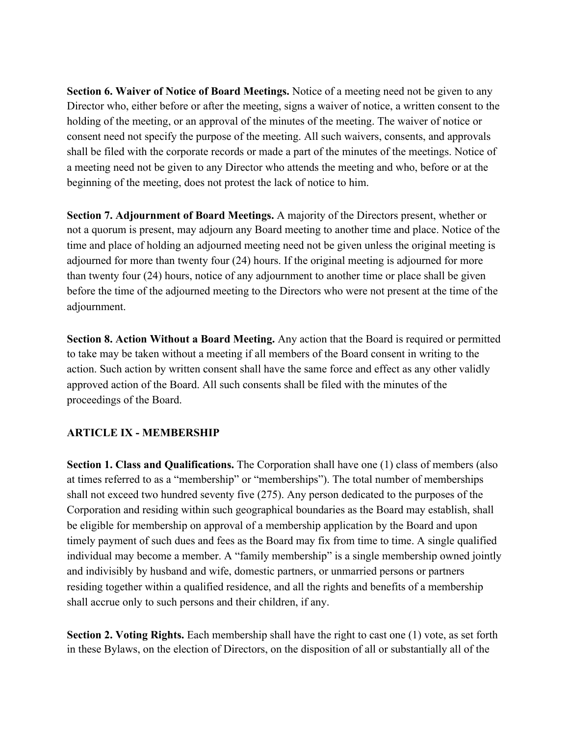**Section 6. Waiver of Notice of Board Meetings.** Notice of a meeting need not be given to any Director who, either before or after the meeting, signs a waiver of notice, a written consent to the holding of the meeting, or an approval of the minutes of the meeting. The waiver of notice or consent need not specify the purpose of the meeting. All such waivers, consents, and approvals shall be filed with the corporate records or made a part of the minutes of the meetings. Notice of a meeting need not be given to any Director who attends the meeting and who, before or at the beginning of the meeting, does not protest the lack of notice to him.

**Section 7. Adjournment of Board Meetings.** A majority of the Directors present, whether or not a quorum is present, may adjourn any Board meeting to another time and place. Notice of the time and place of holding an adjourned meeting need not be given unless the original meeting is adjourned for more than twenty four (24) hours. If the original meeting is adjourned for more than twenty four (24) hours, notice of any adjournment to another time or place shall be given before the time of the adjourned meeting to the Directors who were not present at the time of the adjournment.

**Section 8. Action Without a Board Meeting.** Any action that the Board is required or permitted to take may be taken without a meeting if all members of the Board consent in writing to the action. Such action by written consent shall have the same force and effect as any other validly approved action of the Board. All such consents shall be filed with the minutes of the proceedings of the Board.

#### **ARTICLE IX - MEMBERSHIP**

**Section 1. Class and Qualifications.** The Corporation shall have one (1) class of members (also at times referred to as a "membership" or "memberships"). The total number of memberships shall not exceed two hundred seventy five (275). Any person dedicated to the purposes of the Corporation and residing within such geographical boundaries as the Board may establish, shall be eligible for membership on approval of a membership application by the Board and upon timely payment of such dues and fees as the Board may fix from time to time. A single qualified individual may become a member. A "family membership" is a single membership owned jointly and indivisibly by husband and wife, domestic partners, or unmarried persons or partners residing together within a qualified residence, and all the rights and benefits of a membership shall accrue only to such persons and their children, if any.

**Section 2. Voting Rights.** Each membership shall have the right to cast one (1) vote, as set forth in these Bylaws, on the election of Directors, on the disposition of all or substantially all of the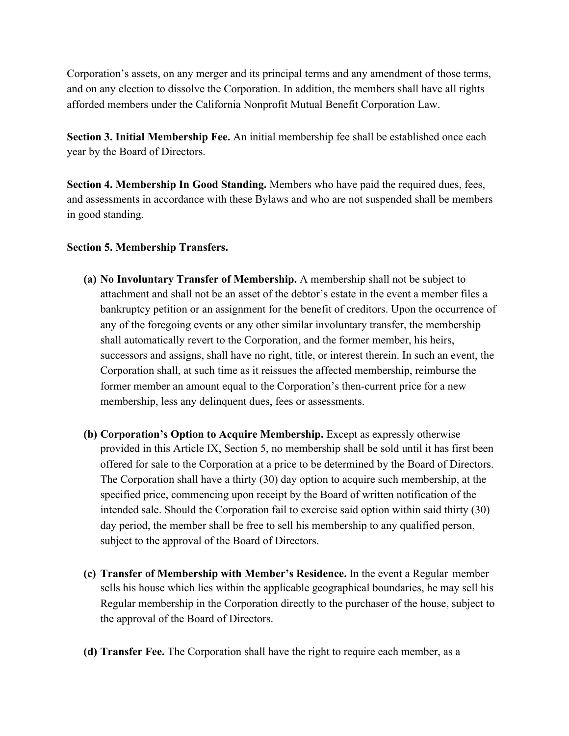Corporation's assets, on any merger and its principal terms and any amendment of those terms, and on any election to dissolve the Corporation. In addition, the members shall have all rights afforded members under the California Nonprofit Mutual Benefit Corporation Law.

**Section 3. Initial Membership Fee.** An initial membership fee shall be established once each year by the Board of Directors.

**Section 4. Membership In Good Standing.** Members who have paid the required dues, fees, and assessments in accordance with these Bylaws and who are not suspended shall be members in good standing.

#### **Section 5. Membership Transfers.**

- **(a) No Involuntary Transfer of Membership.** A membership shall not be subject to attachment and shall not be an asset of the debtor's estate in the event a member files a bankruptcy petition or an assignment for the benefit of creditors. Upon the occurrence of any of the foregoing events or any other similar involuntary transfer, the membership shall automatically revert to the Corporation, and the former member, his heirs, successors and assigns, shall have no right, title, or interest therein. In such an event, the Corporation shall, at such time as it reissues the affected membership, reimburse the former member an amount equal to the Corporation's then-current price for a new membership, less any delinquent dues, fees or assessments.
- **(b) Corporation's Option to Acquire Membership.** Except as expressly otherwise provided in this Article IX, Section 5, no membership shall be sold until it has first been offered for sale to the Corporation at a price to be determined by the Board of Directors. The Corporation shall have a thirty (30) day option to acquire such membership, at the specified price, commencing upon receipt by the Board of written notification of the intended sale. Should the Corporation fail to exercise said option within said thirty (30) day period, the member shall be free to sell his membership to any qualified person, subject to the approval of the Board of Directors.
- **(c) Transfer of Membership with Member's Residence.** In the event a Regular member sells his house which lies within the applicable geographical boundaries, he may sell his Regular membership in the Corporation directly to the purchaser of the house, subject to the approval of the Board of Directors.
- **(d) Transfer Fee.** The Corporation shall have the right to require each member, as a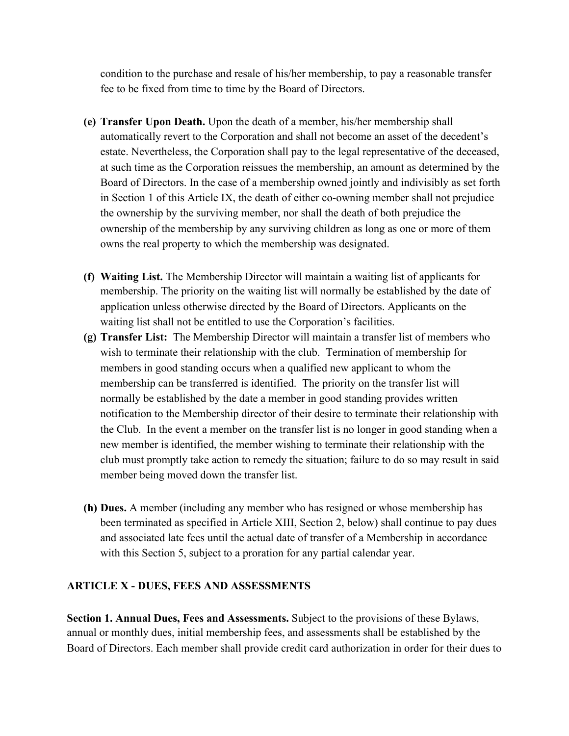condition to the purchase and resale of his/her membership, to pay a reasonable transfer fee to be fixed from time to time by the Board of Directors.

- **(e) Transfer Upon Death.** Upon the death of a member, his/her membership shall automatically revert to the Corporation and shall not become an asset of the decedent's estate. Nevertheless, the Corporation shall pay to the legal representative of the deceased, at such time as the Corporation reissues the membership, an amount as determined by the Board of Directors. In the case of a membership owned jointly and indivisibly as set forth in Section 1 of this Article IX, the death of either co-owning member shall not prejudice the ownership by the surviving member, nor shall the death of both prejudice the ownership of the membership by any surviving children as long as one or more of them owns the real property to which the membership was designated.
- **(f) Waiting List.** The Membership Director will maintain a waiting list of applicants for membership. The priority on the waiting list will normally be established by the date of application unless otherwise directed by the Board of Directors. Applicants on the waiting list shall not be entitled to use the Corporation's facilities.
- **(g) Transfer List:** The Membership Director will maintain a transfer list of members who wish to terminate their relationship with the club. Termination of membership for members in good standing occurs when a qualified new applicant to whom the membership can be transferred is identified. The priority on the transfer list will normally be established by the date a member in good standing provides written notification to the Membership director of their desire to terminate their relationship with the Club. In the event a member on the transfer list is no longer in good standing when a new member is identified, the member wishing to terminate their relationship with the club must promptly take action to remedy the situation; failure to do so may result in said member being moved down the transfer list.
- **(h) Dues.** A member (including any member who has resigned or whose membership has been terminated as specified in Article XIII, Section 2, below) shall continue to pay dues and associated late fees until the actual date of transfer of a Membership in accordance with this Section 5, subject to a proration for any partial calendar year.

#### **ARTICLE X - DUES, FEES AND ASSESSMENTS**

**Section 1. Annual Dues, Fees and Assessments.** Subject to the provisions of these Bylaws, annual or monthly dues, initial membership fees, and assessments shall be established by the Board of Directors. Each member shall provide credit card authorization in order for their dues to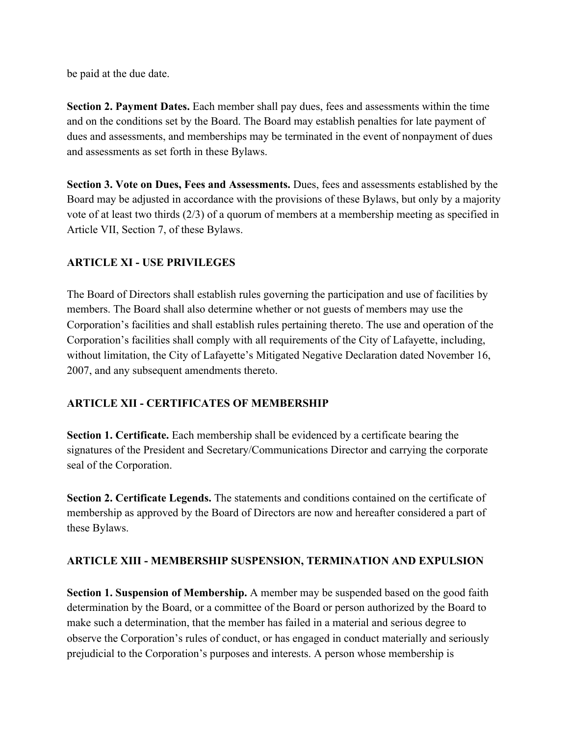be paid at the due date.

**Section 2. Payment Dates.** Each member shall pay dues, fees and assessments within the time and on the conditions set by the Board. The Board may establish penalties for late payment of dues and assessments, and memberships may be terminated in the event of nonpayment of dues and assessments as set forth in these Bylaws.

**Section 3. Vote on Dues, Fees and Assessments.** Dues, fees and assessments established by the Board may be adjusted in accordance with the provisions of these Bylaws, but only by a majority vote of at least two thirds (2/3) of a quorum of members at a membership meeting as specified in Article VII, Section 7, of these Bylaws.

### **ARTICLE XI - USE PRIVILEGES**

The Board of Directors shall establish rules governing the participation and use of facilities by members. The Board shall also determine whether or not guests of members may use the Corporation's facilities and shall establish rules pertaining thereto. The use and operation of the Corporation's facilities shall comply with all requirements of the City of Lafayette, including, without limitation, the City of Lafayette's Mitigated Negative Declaration dated November 16, 2007, and any subsequent amendments thereto.

### **ARTICLE XII - CERTIFICATES OF MEMBERSHIP**

**Section 1. Certificate.** Each membership shall be evidenced by a certificate bearing the signatures of the President and Secretary/Communications Director and carrying the corporate seal of the Corporation.

**Section 2. Certificate Legends.** The statements and conditions contained on the certificate of membership as approved by the Board of Directors are now and hereafter considered a part of these Bylaws.

## **ARTICLE XIII - MEMBERSHIP SUSPENSION, TERMINATION AND EXPULSION**

**Section 1. Suspension of Membership.** A member may be suspended based on the good faith determination by the Board, or a committee of the Board or person authorized by the Board to make such a determination, that the member has failed in a material and serious degree to observe the Corporation's rules of conduct, or has engaged in conduct materially and seriously prejudicial to the Corporation's purposes and interests. A person whose membership is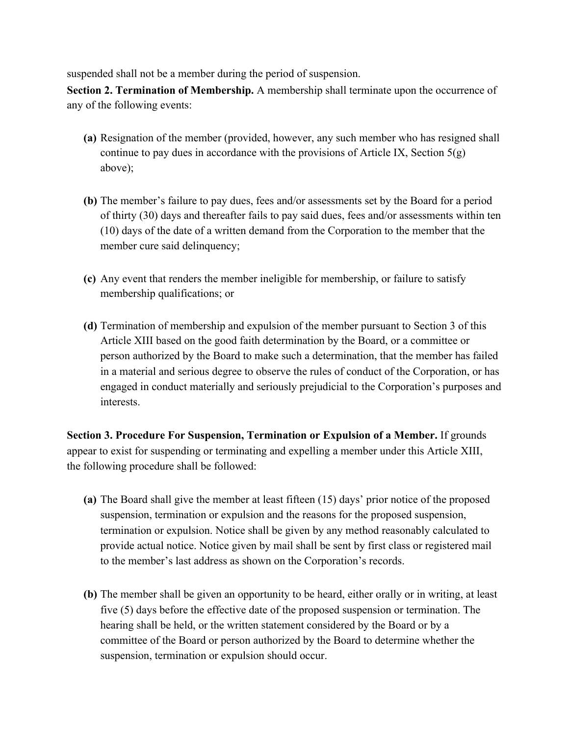suspended shall not be a member during the period of suspension.

**Section 2. Termination of Membership.** A membership shall terminate upon the occurrence of any of the following events:

- **(a)** Resignation of the member (provided, however, any such member who has resigned shall continue to pay dues in accordance with the provisions of Article IX, Section 5(g) above);
- **(b)** The member's failure to pay dues, fees and/or assessments set by the Board for a period of thirty (30) days and thereafter fails to pay said dues, fees and/or assessments within ten (10) days of the date of a written demand from the Corporation to the member that the member cure said delinquency;
- **(c)** Any event that renders the member ineligible for membership, or failure to satisfy membership qualifications; or
- **(d)** Termination of membership and expulsion of the member pursuant to Section 3 of this Article XIII based on the good faith determination by the Board, or a committee or person authorized by the Board to make such a determination, that the member has failed in a material and serious degree to observe the rules of conduct of the Corporation, or has engaged in conduct materially and seriously prejudicial to the Corporation's purposes and interests.

**Section 3. Procedure For Suspension, Termination or Expulsion of a Member.** If grounds appear to exist for suspending or terminating and expelling a member under this Article XIII, the following procedure shall be followed:

- **(a)** The Board shall give the member at least fifteen (15) days' prior notice of the proposed suspension, termination or expulsion and the reasons for the proposed suspension, termination or expulsion. Notice shall be given by any method reasonably calculated to provide actual notice. Notice given by mail shall be sent by first class or registered mail to the member's last address as shown on the Corporation's records.
- **(b)** The member shall be given an opportunity to be heard, either orally or in writing, at least five (5) days before the effective date of the proposed suspension or termination. The hearing shall be held, or the written statement considered by the Board or by a committee of the Board or person authorized by the Board to determine whether the suspension, termination or expulsion should occur.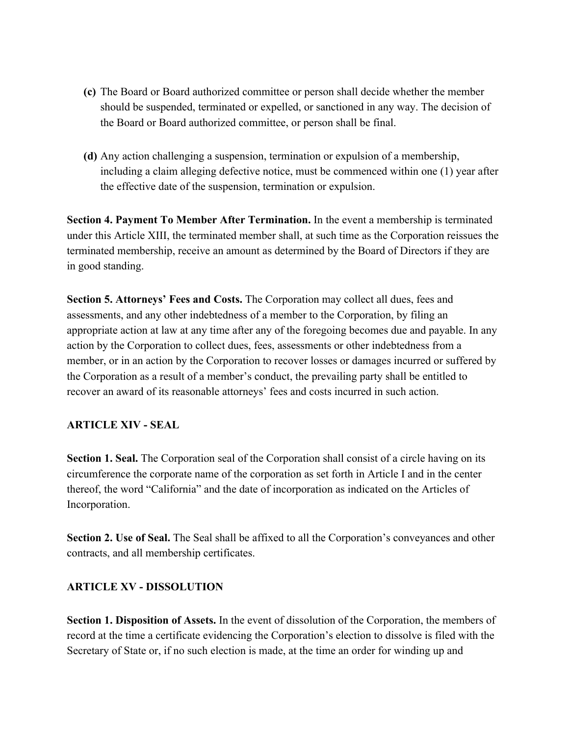- **(c)** The Board or Board authorized committee or person shall decide whether the member should be suspended, terminated or expelled, or sanctioned in any way. The decision of the Board or Board authorized committee, or person shall be final.
- **(d)** Any action challenging a suspension, termination or expulsion of a membership, including a claim alleging defective notice, must be commenced within one (1) year after the effective date of the suspension, termination or expulsion.

**Section 4. Payment To Member After Termination.** In the event a membership is terminated under this Article XIII, the terminated member shall, at such time as the Corporation reissues the terminated membership, receive an amount as determined by the Board of Directors if they are in good standing.

**Section 5. Attorneys' Fees and Costs.** The Corporation may collect all dues, fees and assessments, and any other indebtedness of a member to the Corporation, by filing an appropriate action at law at any time after any of the foregoing becomes due and payable. In any action by the Corporation to collect dues, fees, assessments or other indebtedness from a member, or in an action by the Corporation to recover losses or damages incurred or suffered by the Corporation as a result of a member's conduct, the prevailing party shall be entitled to recover an award of its reasonable attorneys' fees and costs incurred in such action.

#### **ARTICLE XIV - SEAL**

**Section 1. Seal.** The Corporation seal of the Corporation shall consist of a circle having on its circumference the corporate name of the corporation as set forth in Article I and in the center thereof, the word "California" and the date of incorporation as indicated on the Articles of Incorporation.

**Section 2. Use of Seal.** The Seal shall be affixed to all the Corporation's conveyances and other contracts, and all membership certificates.

#### **ARTICLE XV - DISSOLUTION**

**Section 1. Disposition of Assets.** In the event of dissolution of the Corporation, the members of record at the time a certificate evidencing the Corporation's election to dissolve is filed with the Secretary of State or, if no such election is made, at the time an order for winding up and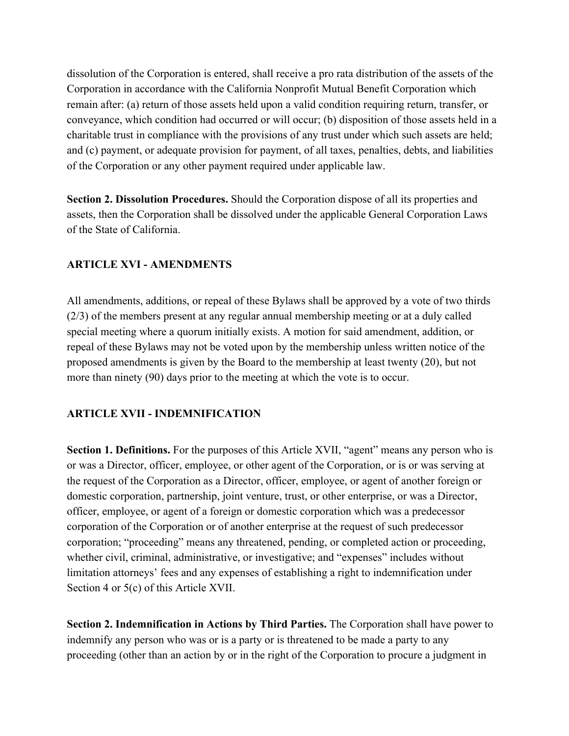dissolution of the Corporation is entered, shall receive a pro rata distribution of the assets of the Corporation in accordance with the California Nonprofit Mutual Benefit Corporation which remain after: (a) return of those assets held upon a valid condition requiring return, transfer, or conveyance, which condition had occurred or will occur; (b) disposition of those assets held in a charitable trust in compliance with the provisions of any trust under which such assets are held; and (c) payment, or adequate provision for payment, of all taxes, penalties, debts, and liabilities of the Corporation or any other payment required under applicable law.

**Section 2. Dissolution Procedures.** Should the Corporation dispose of all its properties and assets, then the Corporation shall be dissolved under the applicable General Corporation Laws of the State of California.

### **ARTICLE XVI - AMENDMENTS**

All amendments, additions, or repeal of these Bylaws shall be approved by a vote of two thirds (2/3) of the members present at any regular annual membership meeting or at a duly called special meeting where a quorum initially exists. A motion for said amendment, addition, or repeal of these Bylaws may not be voted upon by the membership unless written notice of the proposed amendments is given by the Board to the membership at least twenty (20), but not more than ninety (90) days prior to the meeting at which the vote is to occur.

### **ARTICLE XVII - INDEMNIFICATION**

**Section 1. Definitions.** For the purposes of this Article XVII, "agent" means any person who is or was a Director, officer, employee, or other agent of the Corporation, or is or was serving at the request of the Corporation as a Director, officer, employee, or agent of another foreign or domestic corporation, partnership, joint venture, trust, or other enterprise, or was a Director, officer, employee, or agent of a foreign or domestic corporation which was a predecessor corporation of the Corporation or of another enterprise at the request of such predecessor corporation; "proceeding" means any threatened, pending, or completed action or proceeding, whether civil, criminal, administrative, or investigative; and "expenses" includes without limitation attorneys' fees and any expenses of establishing a right to indemnification under Section 4 or 5(c) of this Article XVII.

**Section 2. Indemnification in Actions by Third Parties.** The Corporation shall have power to indemnify any person who was or is a party or is threatened to be made a party to any proceeding (other than an action by or in the right of the Corporation to procure a judgment in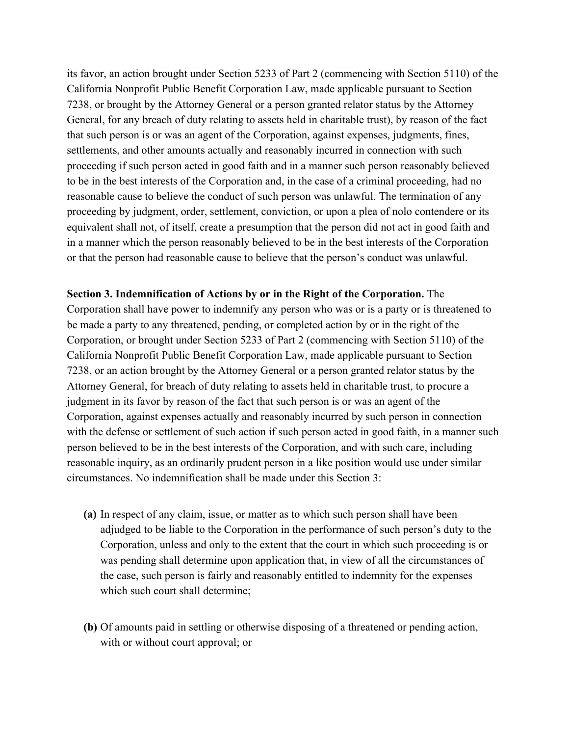its favor, an action brought under Section 5233 of Part 2 (commencing with Section 5110) of the California Nonprofit Public Benefit Corporation Law, made applicable pursuant to Section 7238, or brought by the Attorney General or a person granted relator status by the Attorney General, for any breach of duty relating to assets held in charitable trust), by reason of the fact that such person is or was an agent of the Corporation, against expenses, judgments, fines, settlements, and other amounts actually and reasonably incurred in connection with such proceeding if such person acted in good faith and in a manner such person reasonably believed to be in the best interests of the Corporation and, in the case of a criminal proceeding, had no reasonable cause to believe the conduct of such person was unlawful. The termination of any proceeding by judgment, order, settlement, conviction, or upon a plea of nolo contendere or its equivalent shall not, of itself, create a presumption that the person did not act in good faith and in a manner which the person reasonably believed to be in the best interests of the Corporation or that the person had reasonable cause to believe that the person's conduct was unlawful.

**Section 3. Indemnification of Actions by or in the Right of the Corporation.** The Corporation shall have power to indemnify any person who was or is a party or is threatened to be made a party to any threatened, pending, or completed action by or in the right of the Corporation, or brought under Section 5233 of Part 2 (commencing with Section 5110) of the California Nonprofit Public Benefit Corporation Law, made applicable pursuant to Section 7238, or an action brought by the Attorney General or a person granted relator status by the Attorney General, for breach of duty relating to assets held in charitable trust, to procure a judgment in its favor by reason of the fact that such person is or was an agent of the Corporation, against expenses actually and reasonably incurred by such person in connection with the defense or settlement of such action if such person acted in good faith, in a manner such person believed to be in the best interests of the Corporation, and with such care, including reasonable inquiry, as an ordinarily prudent person in a like position would use under similar circumstances. No indemnification shall be made under this Section 3:

- **(a)** In respect of any claim, issue, or matter as to which such person shall have been adjudged to be liable to the Corporation in the performance of such person's duty to the Corporation, unless and only to the extent that the court in which such proceeding is or was pending shall determine upon application that, in view of all the circumstances of the case, such person is fairly and reasonably entitled to indemnity for the expenses which such court shall determine;
- **(b)** Of amounts paid in settling or otherwise disposing of a threatened or pending action, with or without court approval; or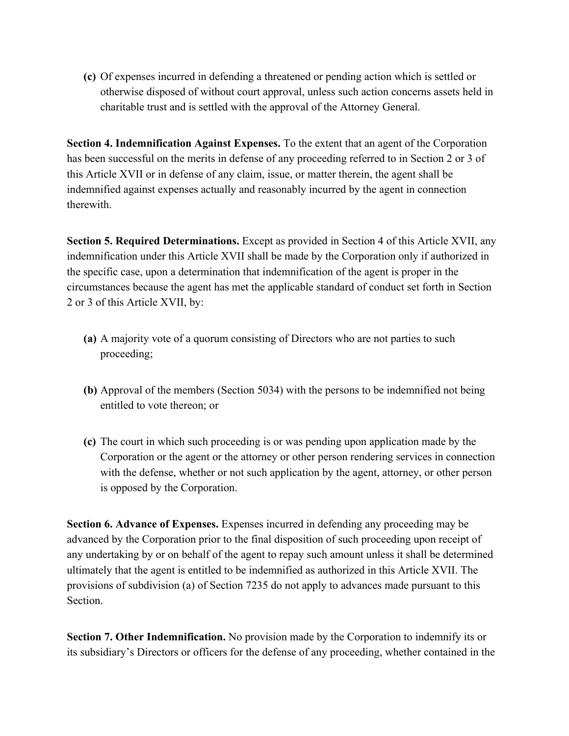**(c)** Of expenses incurred in defending a threatened or pending action which is settled or otherwise disposed of without court approval, unless such action concerns assets held in charitable trust and is settled with the approval of the Attorney General.

**Section 4. Indemnification Against Expenses.** To the extent that an agent of the Corporation has been successful on the merits in defense of any proceeding referred to in Section 2 or 3 of this Article XVII or in defense of any claim, issue, or matter therein, the agent shall be indemnified against expenses actually and reasonably incurred by the agent in connection therewith.

**Section 5. Required Determinations.** Except as provided in Section 4 of this Article XVII, any indemnification under this Article XVII shall be made by the Corporation only if authorized in the specific case, upon a determination that indemnification of the agent is proper in the circumstances because the agent has met the applicable standard of conduct set forth in Section 2 or 3 of this Article XVII, by:

- **(a)** A majority vote of a quorum consisting of Directors who are not parties to such proceeding;
- **(b)** Approval of the members (Section 5034) with the persons to be indemnified not being entitled to vote thereon; or
- **(c)** The court in which such proceeding is or was pending upon application made by the Corporation or the agent or the attorney or other person rendering services in connection with the defense, whether or not such application by the agent, attorney, or other person is opposed by the Corporation.

**Section 6. Advance of Expenses.** Expenses incurred in defending any proceeding may be advanced by the Corporation prior to the final disposition of such proceeding upon receipt of any undertaking by or on behalf of the agent to repay such amount unless it shall be determined ultimately that the agent is entitled to be indemnified as authorized in this Article XVII. The provisions of subdivision (a) of Section 7235 do not apply to advances made pursuant to this **Section** 

**Section 7. Other Indemnification.** No provision made by the Corporation to indemnify its or its subsidiary's Directors or officers for the defense of any proceeding, whether contained in the